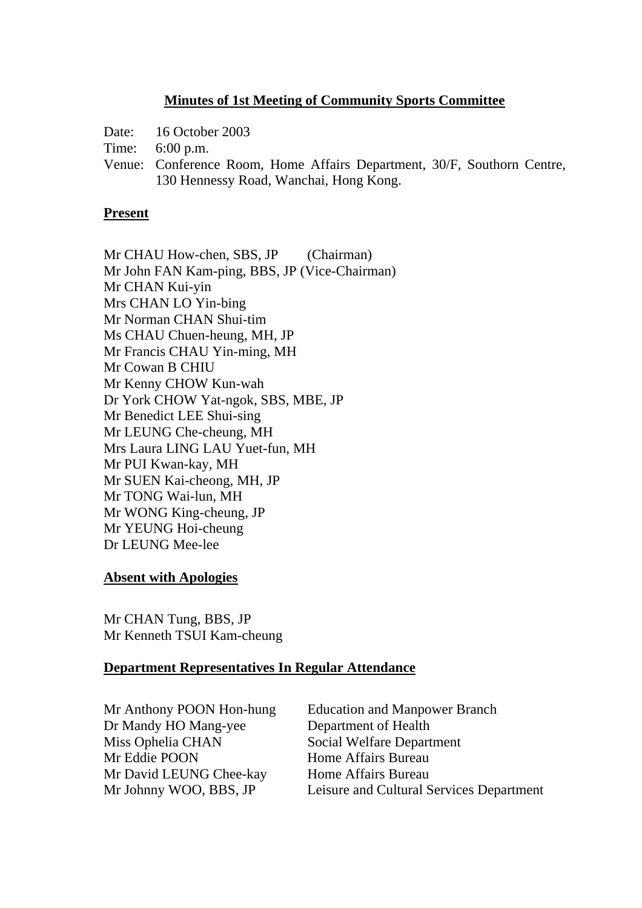### **Minutes of 1st Meeting of Community Sports Committee**

Date: 16 October 2003

Time: 6:00 p.m.

Venue: Conference Room, Home Affairs Department, 30/F, Southorn Centre, 130 Hennessy Road, Wanchai, Hong Kong.

#### **Present**

Mr CHAU How-chen, SBS, JP (Chairman) Mr John FAN Kam-ping, BBS, JP (Vice-Chairman) Mr CHAN Kui-yin Mrs CHAN LO Yin-bing Mr Norman CHAN Shui-tim Ms CHAU Chuen-heung, MH, JP Mr Francis CHAU Yin-ming, MH Mr Cowan B CHIU Mr Kenny CHOW Kun-wah Dr York CHOW Yat-ngok, SBS, MBE, JP Mr Benedict LEE Shui-sing Mr LEUNG Che-cheung, MH Mrs Laura LING LAU Yuet-fun, MH Mr PUI Kwan-kay, MH Mr SUEN Kai-cheong, MH, JP Mr TONG Wai-lun, MH Mr WONG King-cheung, JP Mr YEUNG Hoi-cheung Dr LEUNG Mee-lee

#### **Absent with Apologies**

Mr CHAN Tung, BBS, JP Mr Kenneth TSUI Kam-cheung

#### **Department Representatives In Regular Attendance**

Dr Mandy HO Mang-yee Department of Health Miss Ophelia CHAN Social Welfare Department Mr Eddie POON Home Affairs Bureau Mr David LEUNG Chee-kay Home Affairs Bureau

Mr Anthony POON Hon-hung Education and Manpower Branch Mr Johnny WOO, BBS, JP Leisure and Cultural Services Department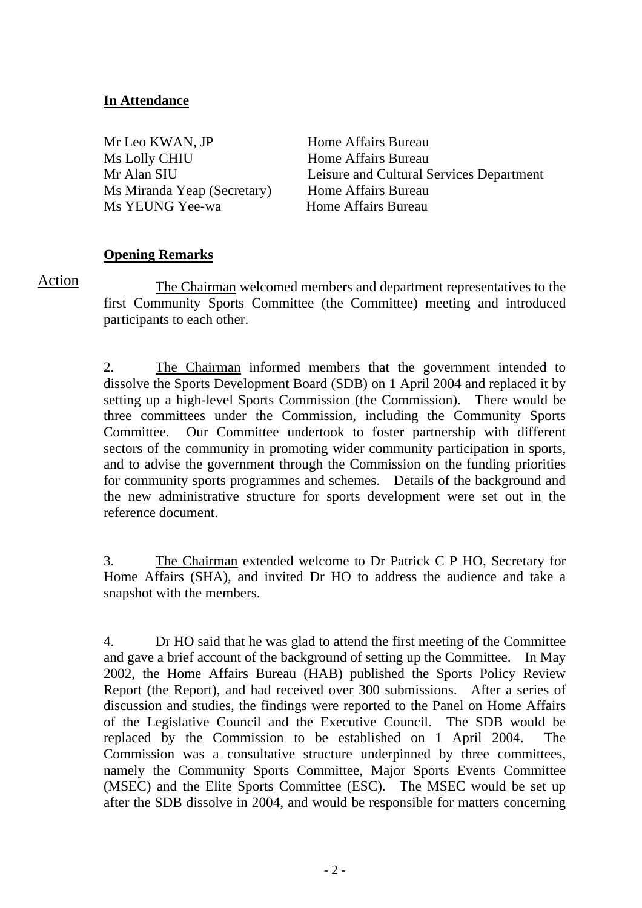## **In Attendance**

Mr Leo KWAN, JP Home Affairs Bureau Ms Lolly CHIU Home Affairs Bureau Ms Miranda Yeap (Secretary) Home Affairs Bureau Ms YEUNG Yee-wa 
Home Affairs Bureau

Mr Alan SIU Leisure and Cultural Services Department

## **Opening Remarks**

Action

 The Chairman welcomed members and department representatives to the first Community Sports Committee (the Committee) meeting and introduced participants to each other.

2. The Chairman informed members that the government intended to dissolve the Sports Development Board (SDB) on 1 April 2004 and replaced it by setting up a high-level Sports Commission (the Commission). There would be three committees under the Commission, including the Community Sports Committee. Our Committee undertook to foster partnership with different sectors of the community in promoting wider community participation in sports, and to advise the government through the Commission on the funding priorities for community sports programmes and schemes. Details of the background and the new administrative structure for sports development were set out in the reference document.

3.The Chairman extended welcome to Dr Patrick C P HO, Secretary for Home Affairs (SHA), and invited Dr HO to address the audience and take a snapshot with the members.

4. Dr HO said that he was glad to attend the first meeting of the Committee and gave a brief account of the background of setting up the Committee. In May 2002, the Home Affairs Bureau (HAB) published the Sports Policy Review Report (the Report), and had received over 300 submissions. After a series of discussion and studies, the findings were reported to the Panel on Home Affairs of the Legislative Council and the Executive Council. The SDB would be replaced by the Commission to be established on 1 April 2004. The Commission was a consultative structure underpinned by three committees, namely the Community Sports Committee, Major Sports Events Committee (MSEC) and the Elite Sports Committee (ESC). The MSEC would be set up after the SDB dissolve in 2004, and would be responsible for matters concerning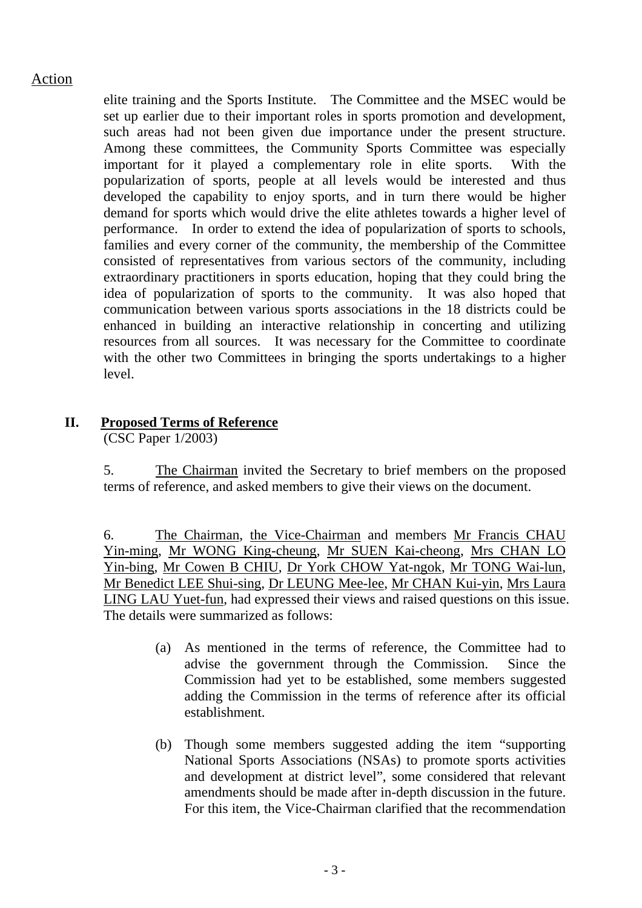elite training and the Sports Institute. The Committee and the MSEC would be set up earlier due to their important roles in sports promotion and development, such areas had not been given due importance under the present structure. Among these committees, the Community Sports Committee was especially important for it played a complementary role in elite sports. With the popularization of sports, people at all levels would be interested and thus developed the capability to enjoy sports, and in turn there would be higher demand for sports which would drive the elite athletes towards a higher level of performance. In order to extend the idea of popularization of sports to schools, families and every corner of the community, the membership of the Committee consisted of representatives from various sectors of the community, including extraordinary practitioners in sports education, hoping that they could bring the idea of popularization of sports to the community. It was also hoped that communication between various sports associations in the 18 districts could be enhanced in building an interactive relationship in concerting and utilizing resources from all sources. It was necessary for the Committee to coordinate with the other two Committees in bringing the sports undertakings to a higher level.

### **II. Proposed Terms of Reference**

(CSC Paper 1/2003)

5. The Chairman invited the Secretary to brief members on the proposed terms of reference, and asked members to give their views on the document.

6. The Chairman, the Vice-Chairman and members Mr Francis CHAU Yin-ming, Mr WONG King-cheung, Mr SUEN Kai-cheong, Mrs CHAN LO Yin-bing, Mr Cowen B CHIU, Dr York CHOW Yat-ngok, Mr TONG Wai-lun, Mr Benedict LEE Shui-sing, Dr LEUNG Mee-lee, Mr CHAN Kui-yin, Mrs Laura LING LAU Yuet-fun, had expressed their views and raised questions on this issue. The details were summarized as follows:

- (a) As mentioned in the terms of reference, the Committee had to advise the government through the Commission. Since the Commission had yet to be established, some members suggested adding the Commission in the terms of reference after its official establishment.
- (b) Though some members suggested adding the item "supporting National Sports Associations (NSAs) to promote sports activities and development at district level", some considered that relevant amendments should be made after in-depth discussion in the future. For this item, the Vice-Chairman clarified that the recommendation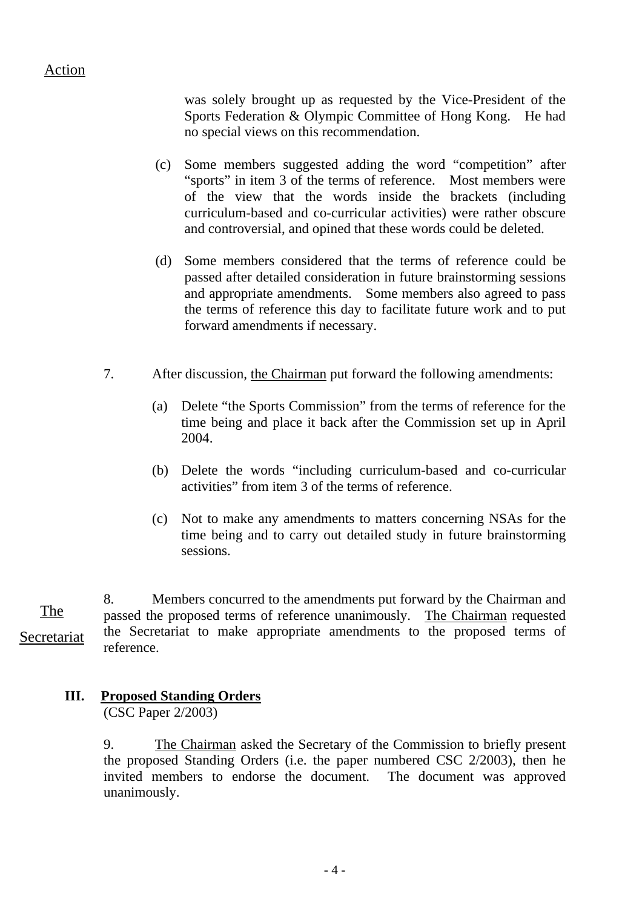was solely brought up as requested by the Vice-President of the Sports Federation & Olympic Committee of Hong Kong. He had no special views on this recommendation.

- (c) Some members suggested adding the word "competition" after "sports" in item 3 of the terms of reference. Most members were of the view that the words inside the brackets (including curriculum-based and co-curricular activities) were rather obscure and controversial, and opined that these words could be deleted.
- (d) Some members considered that the terms of reference could be passed after detailed consideration in future brainstorming sessions and appropriate amendments. Some members also agreed to pass the terms of reference this day to facilitate future work and to put forward amendments if necessary.
- 7. After discussion, the Chairman put forward the following amendments:
	- (a) Delete "the Sports Commission" from the terms of reference for the time being and place it back after the Commission set up in April 2004.
	- (b) Delete the words "including curriculum-based and co-curricular activities" from item 3 of the terms of reference.
	- (c) Not to make any amendments to matters concerning NSAs for the time being and to carry out detailed study in future brainstorming sessions.

8. Members concurred to the amendments put forward by the Chairman and passed the proposed terms of reference unanimously. The Chairman requested the Secretariat to make appropriate amendments to the proposed terms of reference. The Secretariat

# **III. Proposed Standing Orders**

(CSC Paper 2/2003)

9. The Chairman asked the Secretary of the Commission to briefly present the proposed Standing Orders (i.e. the paper numbered CSC 2/2003), then he invited members to endorse the document. The document was approved unanimously.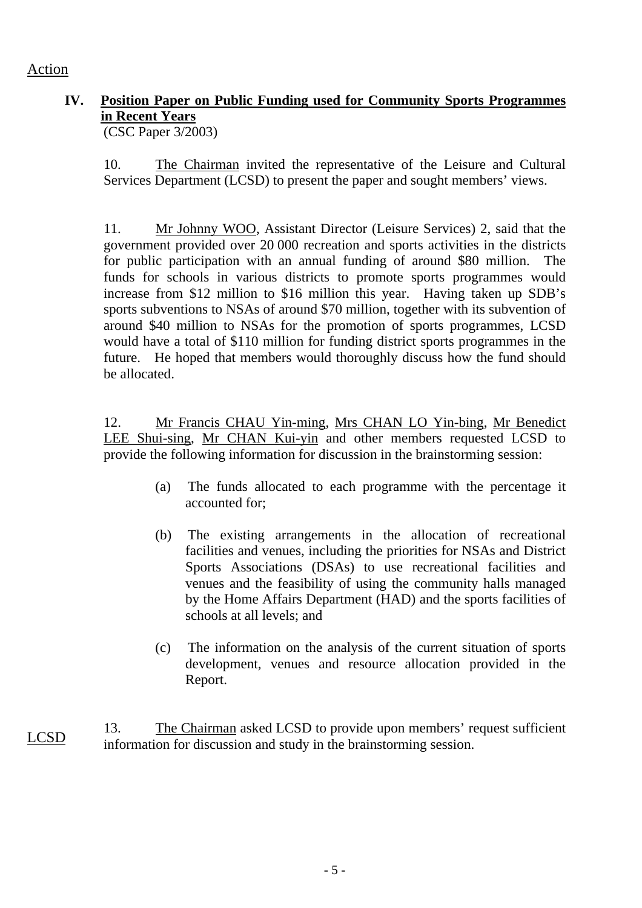# **IV. Position Paper on Public Funding used for Community Sports Programmes in Recent Years**

(CSC Paper 3/2003)

10. The Chairman invited the representative of the Leisure and Cultural Services Department (LCSD) to present the paper and sought members' views.

11. Mr Johnny WOO, Assistant Director (Leisure Services) 2, said that the government provided over 20 000 recreation and sports activities in the districts for public participation with an annual funding of around \$80 million. The funds for schools in various districts to promote sports programmes would increase from \$12 million to \$16 million this year. Having taken up SDB's sports subventions to NSAs of around \$70 million, together with its subvention of around \$40 million to NSAs for the promotion of sports programmes, LCSD would have a total of \$110 million for funding district sports programmes in the future. He hoped that members would thoroughly discuss how the fund should be allocated.

12. Mr Francis CHAU Yin-ming, Mrs CHAN LO Yin-bing, Mr Benedict LEE Shui-sing, Mr CHAN Kui-yin and other members requested LCSD to provide the following information for discussion in the brainstorming session:

- (a) The funds allocated to each programme with the percentage it accounted for;
- (b) The existing arrangements in the allocation of recreational facilities and venues, including the priorities for NSAs and District Sports Associations (DSAs) to use recreational facilities and venues and the feasibility of using the community halls managed by the Home Affairs Department (HAD) and the sports facilities of schools at all levels; and
- (c) The information on the analysis of the current situation of sports development, venues and resource allocation provided in the Report.
- 13. The Chairman asked LCSD to provide upon members' request sufficient information for discussion and study in the brainstorming session. LCSD